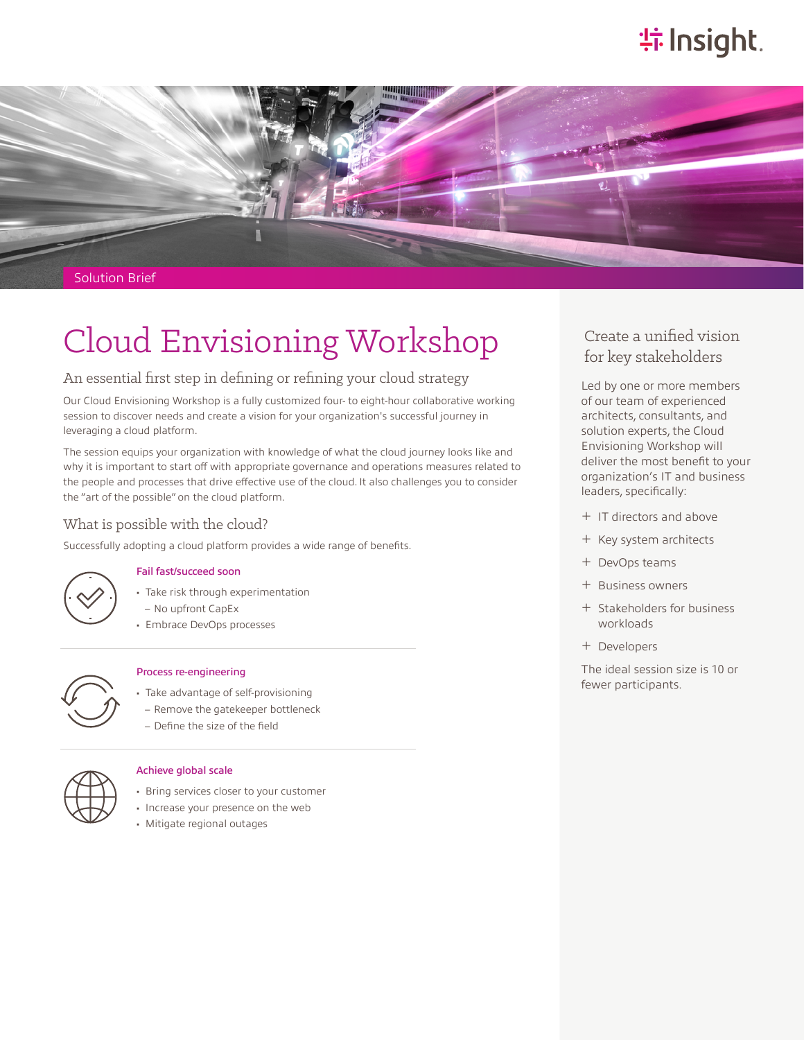# **特Insight**.



Solution Brief

# Cloud Envisioning Workshop

# An essential first step in defining or refining your cloud strategy

Our Cloud Envisioning Workshop is a fully customized four- to eight-hour collaborative working session to discover needs and create a vision for your organization's successful journey in leveraging a cloud platform.

The session equips your organization with knowledge of what the cloud journey looks like and why it is important to start off with appropriate governance and operations measures related to the people and processes that drive effective use of the cloud. It also challenges you to consider the "art of the possible" on the cloud platform.

## What is possible with the cloud?

Successfully adopting a cloud platform provides a wide range of benefits.



### Fail fast/succeed soon

- Take risk through experimentation
- No upfront CapEx
- Embrace DevOps processes



### Process re-engineering

- Take advantage of self-provisioning – Remove the gatekeeper bottleneck
- Define the size of the field



#### Achieve global scale

- Bring services closer to your customer
- Increase your presence on the web
- Mitigate regional outages

# Create a unified vision for key stakeholders

Led by one or more members of our team of experienced architects, consultants, and solution experts, the Cloud Envisioning Workshop will deliver the most benefit to your organization's IT and business leaders, specifically:

- ͓ IT directors and above
- ͓ Key system architects
- ͓ DevOps teams
- ͓ Business owners
- ͓ Stakeholders for business workloads
- ͓ Developers

The ideal session size is 10 or fewer participants.